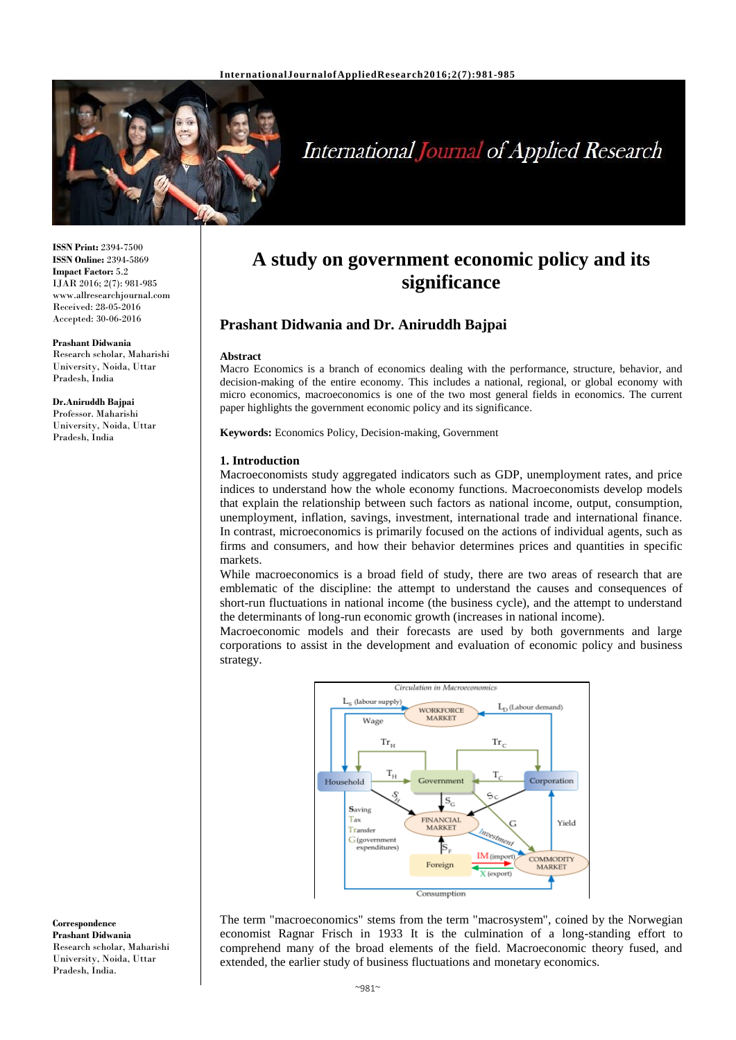

# **International Journal of Applied Research**

**ISSN Print:** 2394-7500 **ISSN Online:** 2394-5869 **Impact Factor:** 5.2 IJAR 2016; 2(7): 981-985 www.allresearchjournal.com Received: 28-05-2016 Accepted: 30-06-2016

**Prashant Didwania** Research scholar, Maharishi University, Noida, Uttar Pradesh, India

**Dr.Aniruddh Bajpai** Professor. Maharishi University, Noida, Uttar Pradesh, India

**A study on government economic policy and its significance**

# **Prashant Didwania and Dr. Aniruddh Bajpai**

#### **Abstract**

Macro Economics is a branch of economics dealing with the performance, structure, behavior, and decision-making of the entire economy. This includes a national, regional, or global economy with micro economics, macroeconomics is one of the two most general fields in economics. The current paper highlights the government economic policy and its significance.

**Keywords:** Economics Policy, Decision-making, Government

#### **1. Introduction**

Macroeconomists study aggregated indicators such as GDP, unemployment rates, and price indices to understand how the whole economy functions. Macroeconomists develop models that explain the relationship between such factors as national income, output, consumption, unemployment, inflation, savings, investment, international trade and international finance. In contrast, microeconomics is primarily focused on the actions of individual agents, such as firms and consumers, and how their behavior determines prices and quantities in specific markets.

While macroeconomics is a broad field of study, there are two areas of research that are emblematic of the discipline: the attempt to understand the causes and consequences of short-run fluctuations in national income (the business cycle), and the attempt to understand the determinants of long-run economic growth (increases in national income).

Macroeconomic models and their forecasts are used by both governments and large corporations to assist in the development and evaluation of economic policy and business strategy.



The term "macroeconomics" stems from the term "macrosystem", coined by the Norwegian economist Ragnar Frisch in 1933 It is the culmination of a long-standing effort to comprehend many of the broad elements of the field. Macroeconomic theory fused, and extended, the earlier study of business fluctuations and monetary economics.

**Correspondence Prashant Didwania** Research scholar, Maharishi University, Noida, Uttar Pradesh, India.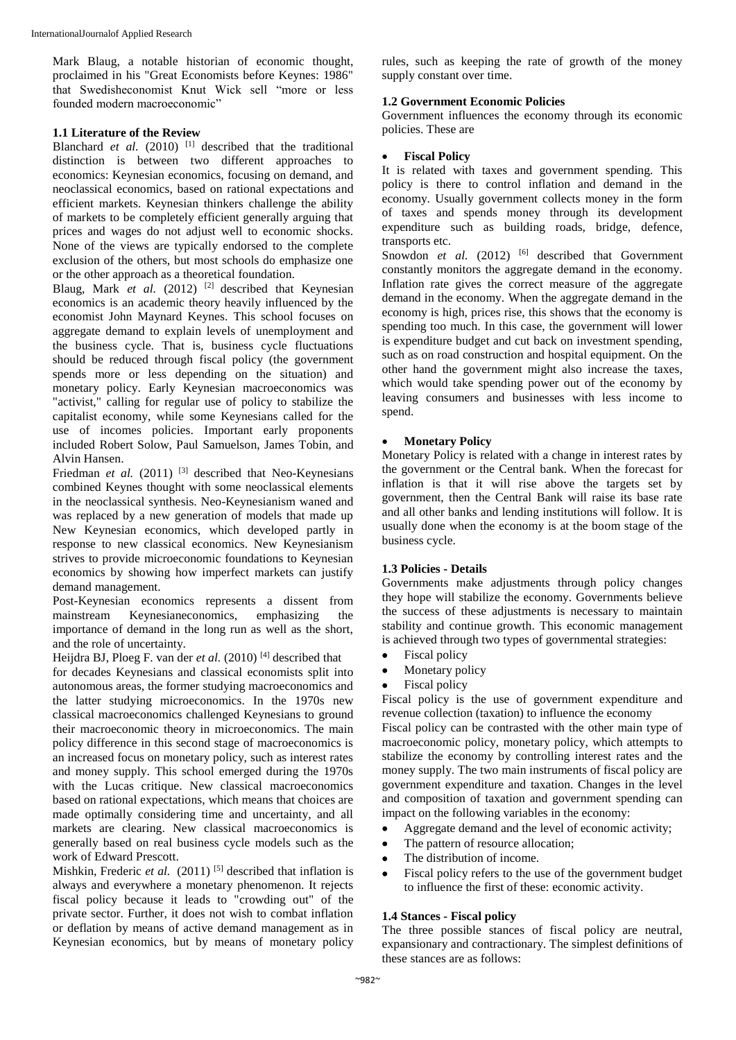Mark Blaug, a notable historian of economic thought, proclaimed in his "Great Economists before Keynes: 1986" that Swedisheconomist Knut Wick sell "more or less founded modern macroeconomic"

#### **1.1 Literature of the Review**

Blanchard *et al.* (2010)<sup>[1]</sup> described that the traditional distinction is between two different approaches to economics: Keynesian economics, focusing on demand, and neoclassical economics, based on rational expectations and efficient markets. Keynesian thinkers challenge the ability of markets to be completely efficient generally arguing that prices and wages do not adjust well to economic shocks. None of the views are typically endorsed to the complete exclusion of the others, but most schools do emphasize one or the other approach as a theoretical foundation.

Blaug, Mark *et al.* (2012) <sup>[2]</sup> described that Keynesian economics is an academic theory heavily influenced by the economist John Maynard Keynes. This school focuses on aggregate demand to explain levels of unemployment and the business cycle. That is, business cycle fluctuations should be reduced through fiscal policy (the government spends more or less depending on the situation) and monetary policy. Early Keynesian macroeconomics was "activist," calling for regular use of policy to stabilize the capitalist economy, while some Keynesians called for the use of incomes policies. Important early proponents included Robert Solow, Paul Samuelson, James Tobin, and Alvin Hansen.

Friedman *et al.* (2011)<sup>[3]</sup> described that Neo-Keynesians combined Keynes thought with some neoclassical elements in the neoclassical synthesis. Neo-Keynesianism waned and was replaced by a new generation of models that made up New Keynesian economics, which developed partly in response to new classical economics. New Keynesianism strives to provide microeconomic foundations to Keynesian economics by showing how imperfect markets can justify demand management.

Post-Keynesian economics represents a dissent from mainstream Keynesianeconomics, emphasizing the importance of demand in the long run as well as the short, and the role of uncertainty.

Heijdra BJ, Ploeg F. van der *et al.* (2010) [4] described that

for decades Keynesians and classical economists split into autonomous areas, the former studying macroeconomics and the latter studying microeconomics. In the 1970s new classical macroeconomics challenged Keynesians to ground their macroeconomic theory in microeconomics. The main policy difference in this second stage of macroeconomics is an increased focus on monetary policy, such as interest rates and money supply. This school emerged during the 1970s with the Lucas critique. New classical macroeconomics based on rational expectations, which means that choices are made optimally considering time and uncertainty, and all markets are clearing. New classical macroeconomics is generally based on real business cycle models such as the work of Edward Prescott.

Mishkin, Frederic et al. (2011)<sup>[5]</sup> described that inflation is always and everywhere a monetary phenomenon. It rejects fiscal policy because it leads to "crowding out" of the private sector. Further, it does not wish to combat inflation or deflation by means of active demand management as in Keynesian economics, but by means of monetary policy

rules, such as keeping the rate of growth of the money supply constant over time.

#### **1.2 Government Economic Policies**

Government influences the economy through its economic policies. These are

#### **Fiscal Policy**

It is related with taxes and government spending. This policy is there to control inflation and demand in the economy. Usually government collects money in the form of taxes and spends money through its development expenditure such as building roads, bridge, defence, transports etc.

Snowdon *et al.* (2012) <sup>[6]</sup> described that Government constantly monitors the aggregate demand in the economy. Inflation rate gives the correct measure of the aggregate demand in the economy. When the aggregate demand in the economy is high, prices rise, this shows that the economy is spending too much. In this case, the government will lower is expenditure budget and cut back on investment spending, such as on road construction and hospital equipment. On the other hand the government might also increase the taxes, which would take spending power out of the economy by leaving consumers and businesses with less income to spend.

# **Monetary Policy**

Monetary Policy is related with a change in interest rates by the government or the Central bank. When the forecast for inflation is that it will rise above the targets set by government, then the Central Bank will raise its base rate and all other banks and lending institutions will follow. It is usually done when the economy is at the boom stage of the business cycle.

#### **1.3 Policies - Details**

Governments make adjustments through policy changes they hope will stabilize the economy. Governments believe the success of these adjustments is necessary to maintain stability and continue growth. This economic management is achieved through two types of governmental strategies:

- Fiscal policy
- Monetary policy
- Fiscal policy

Fiscal policy is the use of government expenditure and revenue collection (taxation) to influence the economy

Fiscal policy can be contrasted with the other main type of macroeconomic policy, monetary policy, which attempts to stabilize the economy by controlling interest rates and the money supply. The two main instruments of fiscal policy are government expenditure and taxation. Changes in the level and composition of taxation and government spending can impact on the following variables in the economy:

- Aggregate demand and the level of economic activity;
- The pattern of resource allocation;
- The distribution of income.
- Fiscal policy refers to the use of the government budget to influence the first of these: economic activity.

#### **1.4 Stances - Fiscal policy**

The three possible stances of fiscal policy are neutral, expansionary and contractionary. The simplest definitions of these stances are as follows: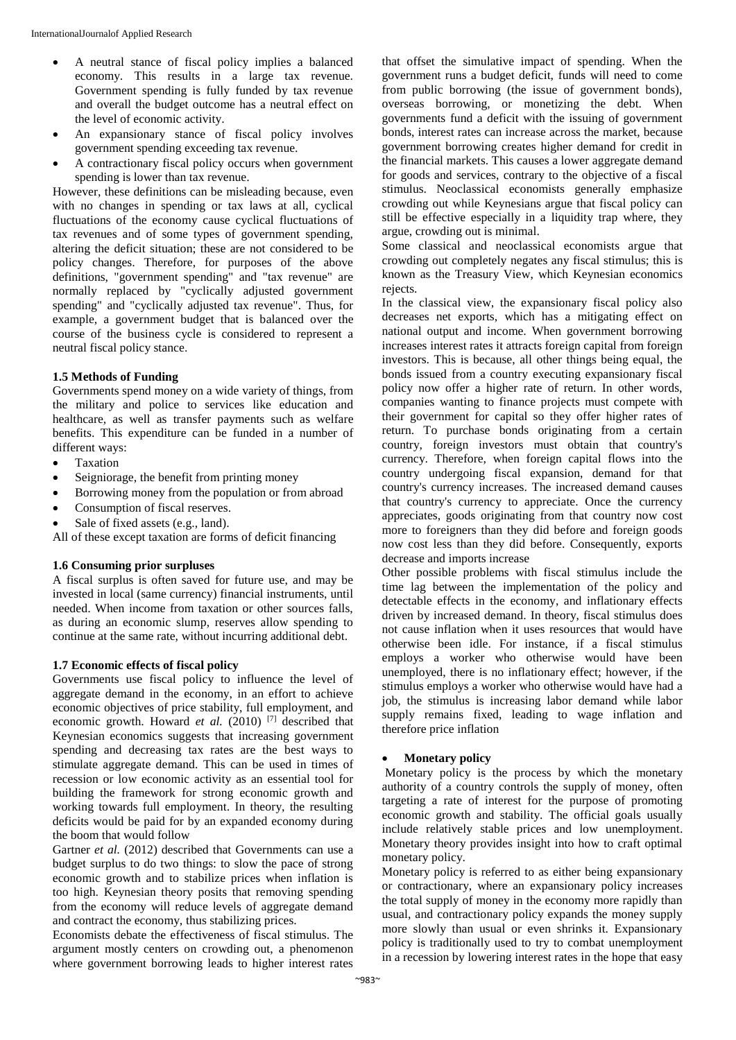- A neutral stance of fiscal policy implies a balanced economy. This results in a large tax revenue. Government spending is fully funded by tax revenue and overall the budget outcome has a neutral effect on the level of economic activity.
- An expansionary stance of fiscal policy involves government spending exceeding tax revenue.
- A contractionary fiscal policy occurs when government spending is lower than tax revenue.

However, these definitions can be misleading because, even with no changes in spending or tax laws at all, cyclical fluctuations of the economy cause cyclical fluctuations of tax revenues and of some types of government spending, altering the deficit situation; these are not considered to be policy changes. Therefore, for purposes of the above definitions, "government spending" and "tax revenue" are normally replaced by "cyclically adjusted government spending" and "cyclically adjusted tax revenue". Thus, for example, a government budget that is balanced over the course of the business cycle is considered to represent a neutral fiscal policy stance.

# **1.5 Methods of Funding**

Governments spend money on a wide variety of things, from the military and police to services like education and healthcare, as well as transfer payments such as welfare benefits. This expenditure can be funded in a number of different ways:

- Taxation
- Seigniorage, the benefit from printing money
- Borrowing money from the population or from abroad
- Consumption of fiscal reserves.
- Sale of fixed assets (e.g., land).

All of these except taxation are forms of deficit financing

#### **1.6 Consuming prior surpluses**

A fiscal surplus is often saved for future use, and may be invested in local (same currency) financial instruments, until needed. When income from taxation or other sources falls, as during an economic slump, reserves allow spending to continue at the same rate, without incurring additional debt.

# **1.7 Economic effects of fiscal policy**

Governments use fiscal policy to influence the level of aggregate demand in the economy, in an effort to achieve economic objectives of price stability, full employment, and economic growth. Howard *et al.* (2010)<sup>[7]</sup> described that Keynesian economics suggests that increasing government spending and decreasing tax rates are the best ways to stimulate aggregate demand. This can be used in times of recession or low economic activity as an essential tool for building the framework for strong economic growth and working towards full employment. In theory, the resulting deficits would be paid for by an expanded economy during the boom that would follow

Gartner *et al.* (2012) described that Governments can use a budget surplus to do two things: to slow the pace of strong economic growth and to stabilize prices when inflation is too high. Keynesian theory posits that removing spending from the economy will reduce levels of aggregate demand and contract the economy, thus stabilizing prices.

Economists debate the effectiveness of fiscal stimulus. The argument mostly centers on crowding out, a phenomenon where government borrowing leads to higher interest rates

that offset the simulative impact of spending. When the government runs a budget deficit, funds will need to come from public borrowing (the issue of government bonds), overseas borrowing, or monetizing the debt. When governments fund a deficit with the issuing of government bonds, interest rates can increase across the market, because government borrowing creates higher demand for credit in the financial markets. This causes a lower aggregate demand for goods and services, contrary to the objective of a fiscal stimulus. Neoclassical economists generally emphasize crowding out while Keynesians argue that fiscal policy can still be effective especially in a liquidity trap where, they argue, crowding out is minimal.

Some classical and neoclassical economists argue that crowding out completely negates any fiscal stimulus; this is known as the Treasury View, which Keynesian economics rejects.

In the classical view, the expansionary fiscal policy also decreases net exports, which has a mitigating effect on national output and income. When government borrowing increases interest rates it attracts foreign capital from foreign investors. This is because, all other things being equal, the bonds issued from a country executing expansionary fiscal policy now offer a higher rate of return. In other words, companies wanting to finance projects must compete with their government for capital so they offer higher rates of return. To purchase bonds originating from a certain country, foreign investors must obtain that country's currency. Therefore, when foreign capital flows into the country undergoing fiscal expansion, demand for that country's currency increases. The increased demand causes that country's currency to appreciate. Once the currency appreciates, goods originating from that country now cost more to foreigners than they did before and foreign goods now cost less than they did before. Consequently, exports decrease and imports increase

Other possible problems with fiscal stimulus include the time lag between the implementation of the policy and detectable effects in the economy, and inflationary effects driven by increased demand. In theory, fiscal stimulus does not cause inflation when it uses resources that would have otherwise been idle. For instance, if a fiscal stimulus employs a worker who otherwise would have been unemployed, there is no inflationary effect; however, if the stimulus employs a worker who otherwise would have had a job, the stimulus is increasing labor demand while labor supply remains fixed, leading to wage inflation and therefore price inflation

# **Monetary policy**

Monetary policy is the process by which the monetary authority of a country controls the supply of money, often targeting a rate of interest for the purpose of promoting economic growth and stability. The official goals usually include relatively stable prices and low unemployment. Monetary theory provides insight into how to craft optimal monetary policy.

Monetary policy is referred to as either being expansionary or contractionary, where an expansionary policy increases the total supply of money in the economy more rapidly than usual, and contractionary policy expands the money supply more slowly than usual or even shrinks it. Expansionary policy is traditionally used to try to combat unemployment in a recession by lowering interest rates in the hope that easy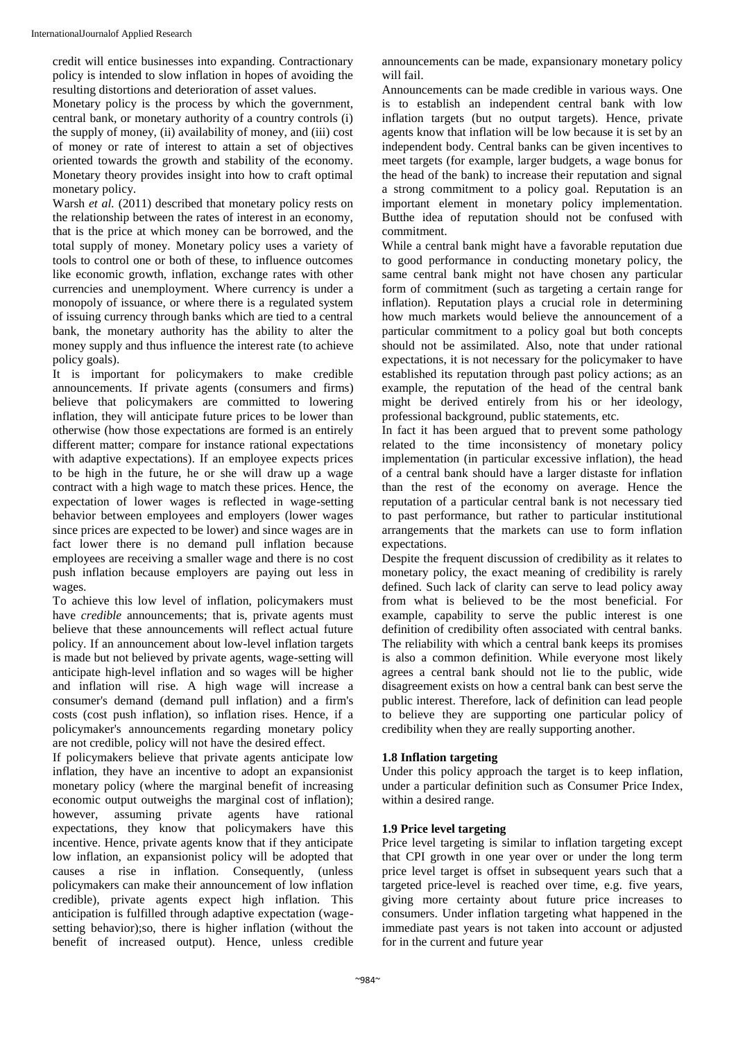credit will entice businesses into expanding. Contractionary policy is intended to slow inflation in hopes of avoiding the resulting distortions and deterioration of asset values.

Monetary policy is the process by which the government, central bank, or monetary authority of a country controls (i) the supply of money, (ii) availability of money, and (iii) cost of money or rate of interest to attain a set of objectives oriented towards the growth and stability of the economy. Monetary theory provides insight into how to craft optimal monetary policy.

Warsh *et al.* (2011) described that monetary policy rests on the relationship between the rates of interest in an economy, that is the price at which money can be borrowed, and the total supply of money. Monetary policy uses a variety of tools to control one or both of these, to influence outcomes like economic growth, inflation, exchange rates with other currencies and unemployment. Where currency is under a monopoly of issuance, or where there is a regulated system of issuing currency through banks which are tied to a central bank, the monetary authority has the ability to alter the money supply and thus influence the interest rate (to achieve policy goals).

It is important for policymakers to make credible announcements. If private agents (consumers and firms) believe that policymakers are committed to lowering inflation, they will anticipate future prices to be lower than otherwise (how those expectations are formed is an entirely different matter; compare for instance rational expectations with adaptive expectations). If an employee expects prices to be high in the future, he or she will draw up a wage contract with a high wage to match these prices. Hence, the expectation of lower wages is reflected in wage-setting behavior between employees and employers (lower wages since prices are expected to be lower) and since wages are in fact lower there is no demand pull inflation because employees are receiving a smaller wage and there is no cost push inflation because employers are paying out less in wages.

To achieve this low level of inflation, policymakers must have *credible* announcements; that is, private agents must believe that these announcements will reflect actual future policy. If an announcement about low-level inflation targets is made but not believed by private agents, wage-setting will anticipate high-level inflation and so wages will be higher and inflation will rise. A high wage will increase a consumer's demand (demand pull inflation) and a firm's costs (cost push inflation), so inflation rises. Hence, if a policymaker's announcements regarding monetary policy are not credible, policy will not have the desired effect.

If policymakers believe that private agents anticipate low inflation, they have an incentive to adopt an expansionist monetary policy (where the marginal benefit of increasing economic output outweighs the marginal cost of inflation); however, assuming private agents have rational expectations, they know that policymakers have this incentive. Hence, private agents know that if they anticipate low inflation, an expansionist policy will be adopted that causes a rise in inflation. Consequently, (unless policymakers can make their announcement of low inflation credible), private agents expect high inflation. This anticipation is fulfilled through adaptive expectation (wagesetting behavior);so, there is higher inflation (without the benefit of increased output). Hence, unless credible

announcements can be made, expansionary monetary policy will fail.

Announcements can be made credible in various ways. One is to establish an independent central bank with low inflation targets (but no output targets). Hence, private agents know that inflation will be low because it is set by an independent body. Central banks can be given incentives to meet targets (for example, larger budgets, a wage bonus for the head of the bank) to increase their reputation and signal a strong commitment to a policy goal. Reputation is an important element in monetary policy implementation. Butthe idea of reputation should not be confused with commitment.

While a central bank might have a favorable reputation due to good performance in conducting monetary policy, the same central bank might not have chosen any particular form of commitment (such as targeting a certain range for inflation). Reputation plays a crucial role in determining how much markets would believe the announcement of a particular commitment to a policy goal but both concepts should not be assimilated. Also, note that under rational expectations, it is not necessary for the policymaker to have established its reputation through past policy actions; as an example, the reputation of the head of the central bank might be derived entirely from his or her ideology, professional background, public statements, etc.

In fact it has been argued that to prevent some pathology related to the time inconsistency of monetary policy implementation (in particular excessive inflation), the head of a central bank should have a larger distaste for inflation than the rest of the economy on average. Hence the reputation of a particular central bank is not necessary tied to past performance, but rather to particular institutional arrangements that the markets can use to form inflation expectations.

Despite the frequent discussion of credibility as it relates to monetary policy, the exact meaning of credibility is rarely defined. Such lack of clarity can serve to lead policy away from what is believed to be the most beneficial. For example, capability to serve the public interest is one definition of credibility often associated with central banks. The reliability with which a central bank keeps its promises is also a common definition. While everyone most likely agrees a central bank should not lie to the public, wide disagreement exists on how a central bank can best serve the public interest. Therefore, lack of definition can lead people to believe they are supporting one particular policy of credibility when they are really supporting another.

# **1.8 Inflation targeting**

Under this policy approach the target is to keep inflation, under a particular definition such as Consumer Price Index, within a desired range.

# **1.9 Price level targeting**

Price level targeting is similar to inflation targeting except that CPI growth in one year over or under the long term price level target is offset in subsequent years such that a targeted price-level is reached over time, e.g. five years, giving more certainty about future price increases to consumers. Under inflation targeting what happened in the immediate past years is not taken into account or adjusted for in the current and future year